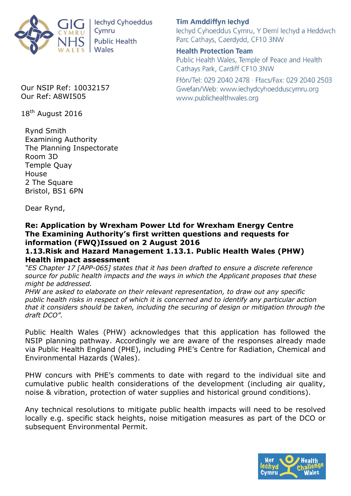

lechyd Cyhoeddus Cymru **Public Health** Wales

**Tim Amddiffyn Iechyd** lechyd Cyhoeddus Cymru, Y Deml lechyd a Heddwch Parc Cathays, Caerdydd, CF10 3NW

**Health Protection Team** Public Health Wales, Temple of Peace and Health Cathays Park, Cardiff CF10 3NW

Ffôn/Tel: 029 2040 2478 · Ffacs/Fax: 029 2040 2503 Gwefan/Web: www.iechydcyhoedduscymru.org www.publichealthwales.org

Our NSIP Ref: 10032157 Our Ref: A8WI505

18<sup>th</sup> August 2016

Rynd Smith Examining Authority The Planning Inspectorate Room 3D Temple Quay House 2 The Square Bristol, BS1 6PN

Dear Rynd,

## **Re: Application by Wrexham Power Ltd for Wrexham Energy Centre The Examining Authority's first written questions and requests for information (FWQ)Issued on 2 August 2016**

## **1.13.Risk and Hazard Management 1.13.1. Public Health Wales (PHW) Health impact assessment**

*"ES Chapter 17 [APP-065] states that it has been drafted to ensure a discrete reference source for public health impacts and the ways in which the Applicant proposes that these might be addressed.* 

*PHW are asked to elaborate on their relevant representation, to draw out any specific public health risks in respect of which it is concerned and to identify any particular action that it considers should be taken, including the securing of design or mitigation through the draft DCO".* 

Public Health Wales (PHW) acknowledges that this application has followed the NSIP planning pathway. Accordingly we are aware of the responses already made via Public Health England (PHE), including PHE's Centre for Radiation, Chemical and Environmental Hazards (Wales).

PHW concurs with PHE's comments to date with regard to the individual site and cumulative public health considerations of the development (including air quality, noise & vibration, protection of water supplies and historical ground conditions).

Any technical resolutions to mitigate public health impacts will need to be resolved locally e.g. specific stack heights, noise mitigation measures as part of the DCO or subsequent Environmental Permit.